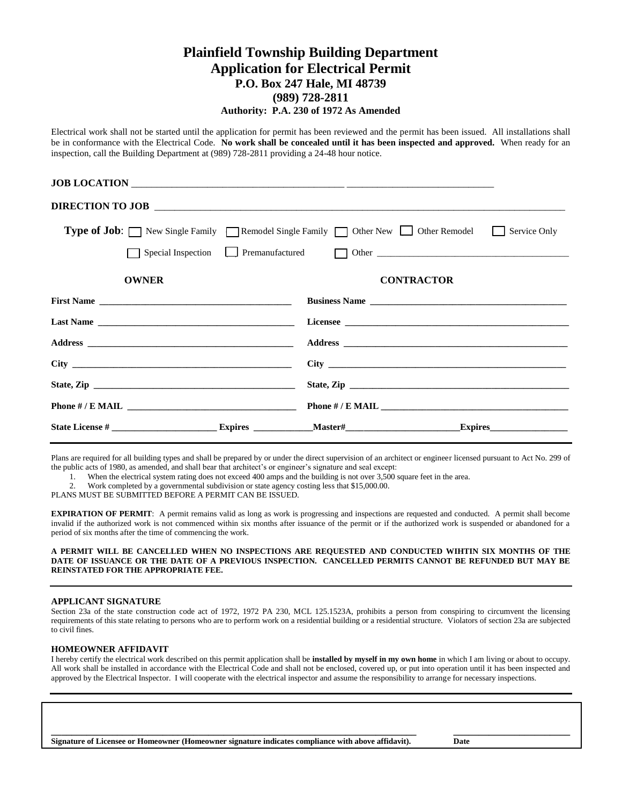## **Plainfield Township Building Department Application for Electrical Permit P.O. Box 247 Hale, MI 48739 (989) 728-2811 Authority: P.A. 230 of 1972 As Amended**

Electrical work shall not be started until the application for permit has been reviewed and the permit has been issued. All installations shall be in conformance with the Electrical Code. **No work shall be concealed until it has been inspected and approved.** When ready for an inspection, call the Building Department at (989) 728-2811 providing a 24-48 hour notice.

|                                                                                                  | DIRECTION TO JOB  |  |  |  |  |  |
|--------------------------------------------------------------------------------------------------|-------------------|--|--|--|--|--|
| <b>Type of Job:</b> New Single Family Remodel Single Family Other New Other Remodel Service Only |                   |  |  |  |  |  |
|                                                                                                  |                   |  |  |  |  |  |
| <b>OWNER</b>                                                                                     | <b>CONTRACTOR</b> |  |  |  |  |  |
|                                                                                                  | Business Name     |  |  |  |  |  |
|                                                                                                  |                   |  |  |  |  |  |
|                                                                                                  |                   |  |  |  |  |  |
|                                                                                                  |                   |  |  |  |  |  |
|                                                                                                  |                   |  |  |  |  |  |
|                                                                                                  |                   |  |  |  |  |  |
|                                                                                                  |                   |  |  |  |  |  |

Plans are required for all building types and shall be prepared by or under the direct supervision of an architect or engineer licensed pursuant to Act No. 299 of the public acts of 1980, as amended, and shall bear that architect's or engineer's signature and seal except:

1. When the electrical system rating does not exceed 400 amps and the building is not over 3,500 square feet in the area.

2. Work completed by a governmental subdivision or state agency costing less that \$15,000.00.

PLANS MUST BE SUBMITTED BEFORE A PERMIT CAN BE ISSUED.

**EXPIRATION OF PERMIT**: A permit remains valid as long as work is progressing and inspections are requested and conducted. A permit shall become invalid if the authorized work is not commenced within six months after issuance of the permit or if the authorized work is suspended or abandoned for a period of six months after the time of commencing the work.

**A PERMIT WILL BE CANCELLED WHEN NO INSPECTIONS ARE REQUESTED AND CONDUCTED WIHTIN SIX MONTHS OF THE DATE OF ISSUANCE OR THE DATE OF A PREVIOUS INSPECTION. CANCELLED PERMITS CANNOT BE REFUNDED BUT MAY BE REINSTATED FOR THE APPROPRIATE FEE.** 

#### **APPLICANT SIGNATURE**

Section 23a of the state construction code act of 1972, 1972 PA 230, MCL 125.1523A, prohibits a person from conspiring to circumvent the licensing requirements of this state relating to persons who are to perform work on a residential building or a residential structure. Violators of section 23a are subjected to civil fines.

#### **HOMEOWNER AFFIDAVIT**

I hereby certify the electrical work described on this permit application shall be **installed by myself in my own home** in which I am living or about to occupy. All work shall be installed in accordance with the Electrical Code and shall not be enclosed, covered up, or put into operation until it has been inspected and approved by the Electrical Inspector. I will cooperate with the electrical inspector and assume the responsibility to arrange for necessary inspections.

**\_\_\_\_\_\_\_\_\_\_\_\_\_\_\_\_\_\_\_\_\_\_\_\_\_\_\_\_\_\_\_\_\_\_\_\_\_\_\_\_\_\_\_\_\_\_\_\_\_\_\_\_\_\_\_\_\_\_\_\_\_\_\_\_\_\_\_\_\_\_\_\_ \_\_\_\_\_\_\_\_\_\_\_\_\_\_\_\_\_\_\_\_\_\_\_** 

**Signature of Licensee or Homeowner (Homeowner signature indicates compliance with above affidavit). Date**